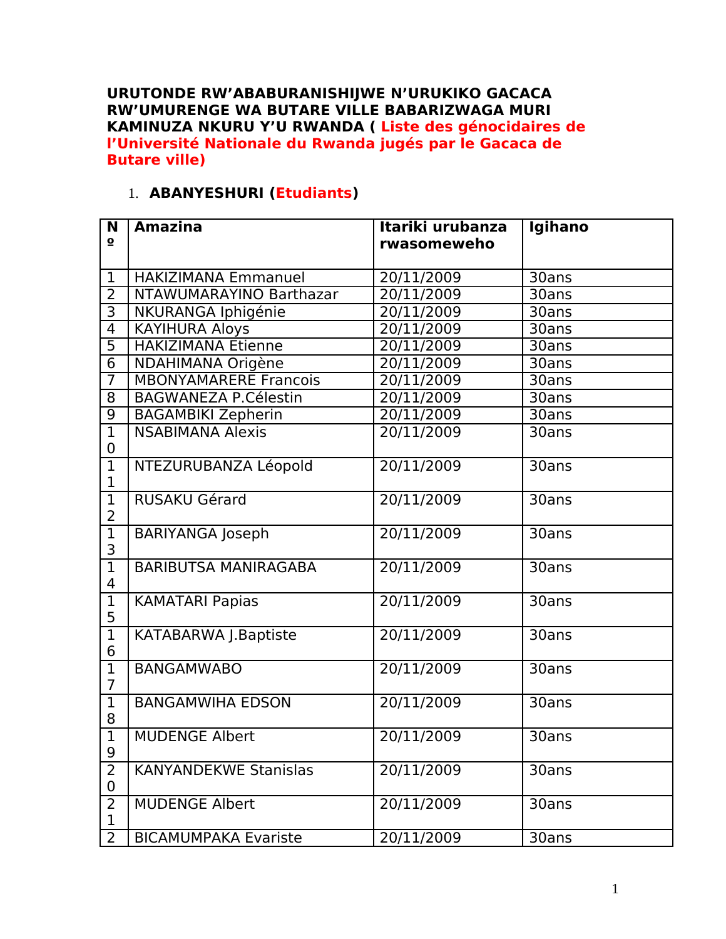**URUTONDE RW'ABABURANISHIJWE N'URUKIKO GACACA RW'UMURENGE WA BUTARE VILLE BABARIZWAGA MURI KAMINUZA NKURU Y'U RWANDA ( Liste des génocidaires de l'Université Nationale du Rwanda jugés par le Gacaca de Butare ville)**

## 1. **ABANYESHURI (Etudiants)**

| N                   | <b>Amazina</b><br>Itariki urubanza |             | Igihano |
|---------------------|------------------------------------|-------------|---------|
| $\mathbf{o}$        |                                    | rwasomeweho |         |
| $\mathbf{1}$        | <b>HAKIZIMANA Emmanuel</b>         | 20/11/2009  | 30ans   |
| $\overline{2}$      | NTAWUMARAYINO Barthazar            | 20/11/2009  | 30ans   |
| $\overline{3}$      | NKURANGA Iphigénie                 | 20/11/2009  | 30ans   |
| $\overline{4}$      | <b>KAYIHURA Aloys</b>              | 20/11/2009  | 30ans   |
| 5                   | <b>HAKIZIMANA Etienne</b>          | 20/11/2009  | 30ans   |
| 6                   | NDAHIMANA Origène                  | 20/11/2009  | 30ans   |
| $\overline{7}$      | <b>MBONYAMARERE Francois</b>       | 20/11/2009  | 30ans   |
| 8                   | <b>BAGWANEZA P.Célestin</b>        | 20/11/2009  | 30ans   |
| $\overline{9}$      | <b>BAGAMBIKI Zepherin</b>          | 20/11/2009  | 30ans   |
| $\overline{1}$      | <b>NSABIMANA Alexis</b>            | 20/11/2009  | 30ans   |
| 0                   |                                    |             |         |
| $\overline{1}$      | NTEZURUBANZA Léopold               | 20/11/2009  | 30ans   |
| 1                   |                                    |             |         |
| $\overline{1}$      | <b>RUSAKU Gérard</b>               | 20/11/2009  | 30ans   |
| 2                   |                                    |             |         |
| $\overline{1}$      | <b>BARIYANGA Joseph</b>            | 20/11/2009  | 30ans   |
| 3                   |                                    |             |         |
| $\overline{1}$      | <b>BARIBUTSA MANIRAGABA</b>        | 20/11/2009  | 30ans   |
| 4<br>$\overline{1}$ |                                    |             |         |
| 5                   | <b>KAMATARI Papias</b>             | 20/11/2009  | 30ans   |
| $\overline{1}$      | <b>KATABARWA J.Baptiste</b>        | 20/11/2009  | 30ans   |
| 6                   |                                    |             |         |
| $\overline{1}$      | <b>BANGAMWABO</b>                  | 20/11/2009  | 30ans   |
| $\overline{7}$      |                                    |             |         |
| $\overline{1}$      | <b>BANGAMWIHA EDSON</b>            | 20/11/2009  | 30ans   |
| 8                   |                                    |             |         |
| $\overline{1}$      | <b>MUDENGE Albert</b>              | 20/11/2009  | 30ans   |
| 9                   |                                    |             |         |
| $\overline{2}$      | <b>KANYANDEKWE Stanislas</b>       | 20/11/2009  | 30ans   |
| 0                   |                                    |             |         |
| $\overline{2}$      | <b>MUDENGE Albert</b>              | 20/11/2009  | 30ans   |
| $\mathbf 1$         |                                    |             |         |
| $\overline{2}$      | <b>BICAMUMPAKA Evariste</b>        | 20/11/2009  | 30ans   |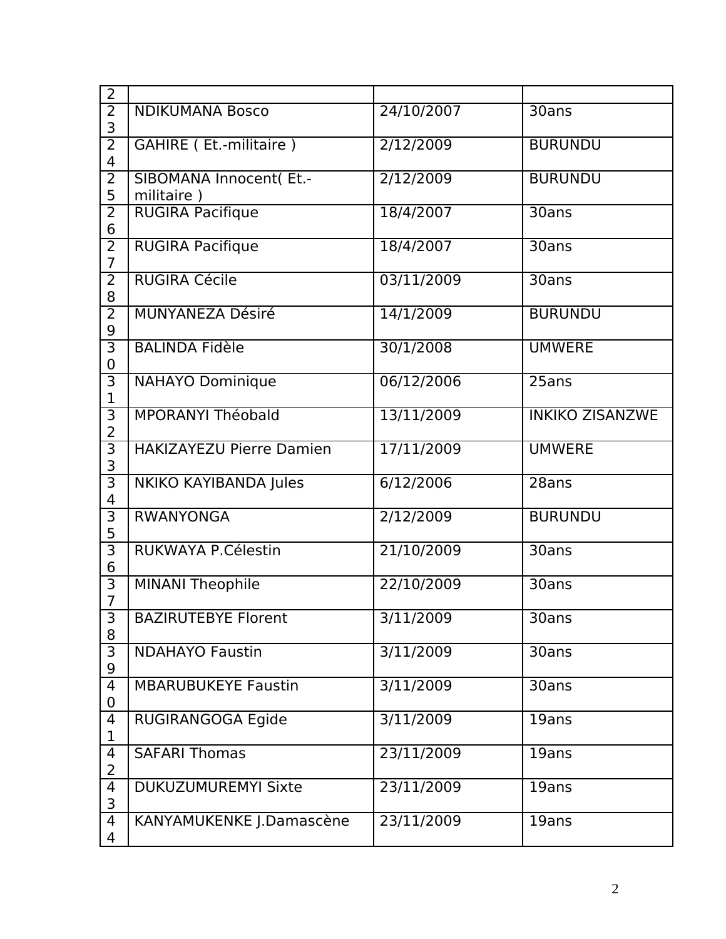| $\overline{2}$                   |                                        |            |                        |
|----------------------------------|----------------------------------------|------------|------------------------|
| $\overline{2}$<br>3              | <b>NDIKUMANA Bosco</b>                 | 24/10/2007 | 30ans                  |
| $\overline{2}$<br>4              | GAHIRE (Et.-militaire)                 | 2/12/2009  | <b>BURUNDU</b>         |
| $\overline{2}$<br>5              | SIBOMANA Innocent( Et .-<br>militaire) | 2/12/2009  | <b>BURUNDU</b>         |
| $\overline{2}$<br>6              | <b>RUGIRA Pacifique</b>                | 18/4/2007  | 30ans                  |
| $\overline{2}$<br>$\overline{7}$ | <b>RUGIRA Pacifique</b>                | 18/4/2007  | 30ans                  |
| $\overline{2}$<br>8              | <b>RUGIRA Cécile</b>                   | 03/11/2009 | 30ans                  |
| $\overline{2}$<br>9              | <b>MUNYANEZA Désiré</b>                | 14/1/2009  | <b>BURUNDU</b>         |
| 3<br>0                           | <b>BALINDA Fidèle</b>                  | 30/1/2008  | <b>UMWERE</b>          |
| $\overline{3}$<br>1              | <b>NAHAYO Dominique</b>                | 06/12/2006 | 25ans                  |
| 3<br>$\overline{2}$              | MPORANYI Théobald                      | 13/11/2009 | <b>INKIKO ZISANZWE</b> |
| $\overline{3}$<br>3              | <b>HAKIZAYEZU Pierre Damien</b>        | 17/11/2009 | <b>UMWERE</b>          |
| $\overline{3}$<br>4              | NKIKO KAYIBANDA Jules                  | 6/12/2006  | 28ans                  |
| $\overline{3}$<br>5              | <b>RWANYONGA</b>                       | 2/12/2009  | <b>BURUNDU</b>         |
| $\overline{3}$<br>6              | RUKWAYA P.Célestin                     | 21/10/2009 | 30ans                  |
| $\overline{3}$<br>$\overline{7}$ | <b>MINANI Theophile</b>                | 22/10/2009 | 30ans                  |
| $\overline{3}$<br>8              | <b>BAZIRUTEBYE Florent</b>             | 3/11/2009  | 30ans                  |
| $\overline{3}$<br>9              | <b>NDAHAYO Faustin</b>                 | 3/11/2009  | 30ans                  |
| 4<br>0                           | <b>MBARUBUKEYE Faustin</b>             | 3/11/2009  | 30ans                  |
| 4<br>1                           | RUGIRANGOGA Egide                      | 3/11/2009  | 19ans                  |
| 4<br>2                           | <b>SAFARI Thomas</b>                   | 23/11/2009 | 19ans                  |
| 4<br>3                           | <b>DUKUZUMUREMYI Sixte</b>             | 23/11/2009 | 19ans                  |
| 4<br>4                           | KANYAMUKENKE J.Damascène               | 23/11/2009 | 19ans                  |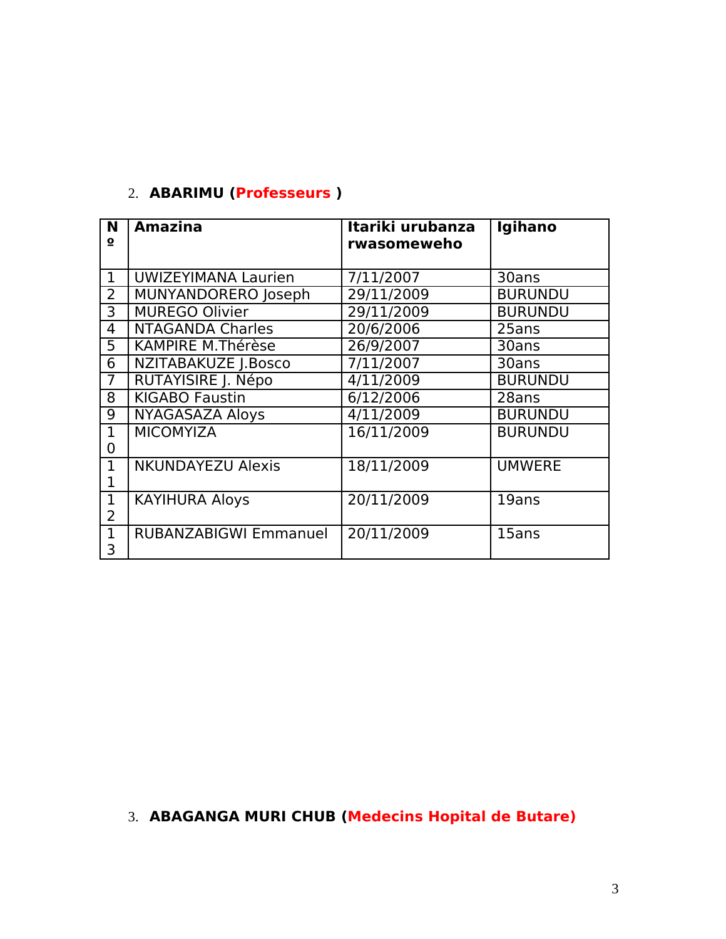## 2. **ABARIMU (Professeurs )**

| N<br>о              | <b>Amazina</b>               | Itariki urubanza<br>rwasomeweho | Igihano        |
|---------------------|------------------------------|---------------------------------|----------------|
| $\mathbf{1}$        | <b>UWIZEYIMANA Laurien</b>   | 7/11/2007                       | 30ans          |
| $\overline{2}$      | MUNYANDORERO Joseph          | 29/11/2009                      | <b>BURUNDU</b> |
| 3                   | <b>MUREGO Olivier</b>        | 29/11/2009                      | <b>BURUNDU</b> |
| 4                   | <b>NTAGANDA Charles</b>      | 20/6/2006                       | 25ans          |
| 5                   | <b>KAMPIRE M.Thérèse</b>     | 26/9/2007                       | 30ans          |
| 6                   | NZITABAKUZE J.Bosco          | 7/11/2007                       | 30ans          |
| $\overline{7}$      | RUTAYISIRE J. Népo           | 4/11/2009                       | <b>BURUNDU</b> |
| 8                   | <b>KIGABO Faustin</b>        | 6/12/2006                       | 28ans          |
| 9                   | <b>NYAGASAZA Aloys</b>       | 4/11/2009                       | <b>BURUNDU</b> |
| $\mathbf{1}$<br>0   | <b>MICOMYIZA</b>             | 16/11/2009                      | <b>BURUNDU</b> |
| $\mathbf{1}$        | <b>NKUNDAYEZU Alexis</b>     | 18/11/2009                      | <b>UMWERE</b>  |
| $\mathbf{1}$<br>2   | <b>KAYIHURA Aloys</b>        | 20/11/2009                      | 19ans          |
| $\overline{1}$<br>3 | <b>RUBANZABIGWI Emmanuel</b> | 20/11/2009                      | 15ans          |

## 3. **ABAGANGA MURI CHUB (Medecins Hopital de Butare)**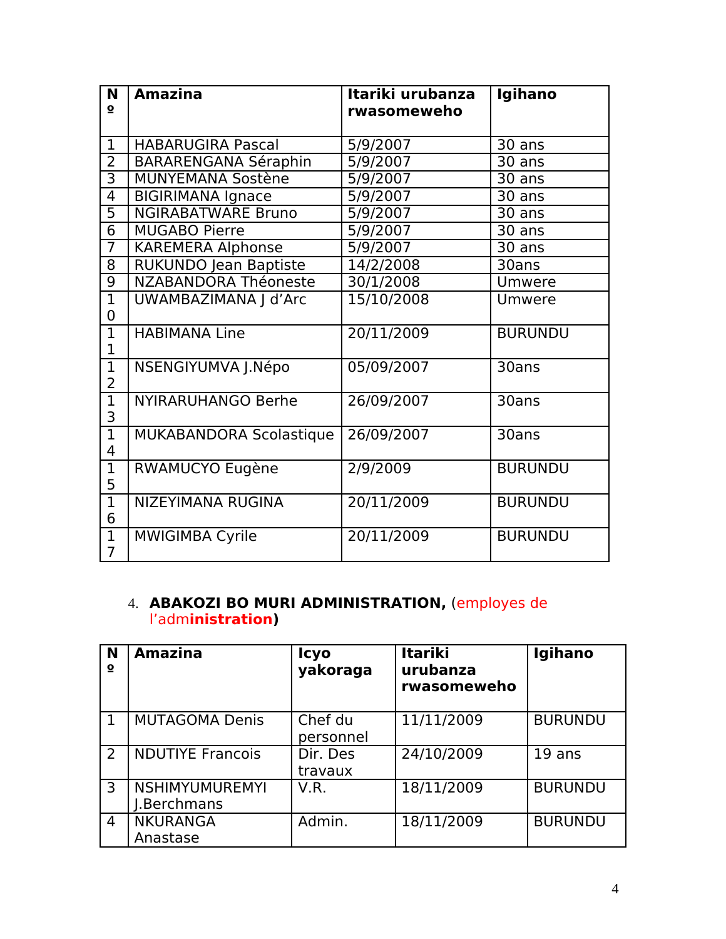| N<br>$\mathbf{o}$                | <b>Amazina</b>                 | Itariki urubanza<br>rwasomeweho | Igihano        |  |
|----------------------------------|--------------------------------|---------------------------------|----------------|--|
| $\mathbf{1}$                     | <b>HABARUGIRA Pascal</b>       | 5/9/2007                        | 30 ans         |  |
| $\overline{2}$                   | <b>BARARENGANA Séraphin</b>    | 5/9/2007                        | 30 ans         |  |
| 3                                | <b>MUNYEMANA Sostène</b>       | 5/9/2007                        | 30 ans         |  |
| 4                                | <b>BIGIRIMANA Ignace</b>       | 5/9/2007                        | 30 ans         |  |
| 5                                | <b>NGIRABATWARE Bruno</b>      | 5/9/2007                        | 30 ans         |  |
| 6                                | <b>MUGABO Pierre</b>           | 5/9/2007                        | 30 ans         |  |
| $\overline{7}$                   | <b>KAREMERA Alphonse</b>       | 5/9/2007                        | 30 ans         |  |
| 8                                | <b>RUKUNDO Jean Baptiste</b>   | 14/2/2008                       | 30ans          |  |
| 9                                | <b>NZABANDORA Théoneste</b>    | 30/1/2008                       | Umwere         |  |
| $\overline{1}$<br>0              | UWAMBAZIMANA J d'Arc           | 15/10/2008                      | Umwere         |  |
| $\mathbf{1}$<br>1                | <b>HABIMANA Line</b>           | 20/11/2009                      | <b>BURUNDU</b> |  |
| $\overline{1}$<br>$\overline{2}$ | NSENGIYUMVA J.Népo             | 05/09/2007                      | 30ans          |  |
| $\mathbf{1}$<br>3                | <b>NYIRARUHANGO Berhe</b>      | 26/09/2007                      | 30ans          |  |
| $\mathbf 1$<br>4                 | <b>MUKABANDORA Scolastique</b> | 26/09/2007                      | 30ans          |  |
| $\mathbf{1}$<br>5                | RWAMUCYO Eugène                | 2/9/2009                        | <b>BURUNDU</b> |  |
| $\mathbf 1$<br>6                 | NIZEYIMANA RUGINA              | 20/11/2009                      | <b>BURUNDU</b> |  |
| $\mathbf{1}$<br>$\overline{7}$   | <b>MWIGIMBA Cyrile</b>         | 20/11/2009                      | <b>BURUNDU</b> |  |

## 4. **ABAKOZI BO MURI ADMINISTRATION,** (employes de l'adm**inistration)**

| N<br>$\overline{\mathbf{o}}$ | <b>Amazina</b>                       | <b>Icyo</b><br>yakoraga | <b>Itariki</b><br>urubanza<br>rwasomeweho | Igihano        |
|------------------------------|--------------------------------------|-------------------------|-------------------------------------------|----------------|
|                              | <b>MUTAGOMA Denis</b>                | Chef du<br>personnel    | 11/11/2009                                | <b>BURUNDU</b> |
| 2                            | <b>NDUTIYE Francois</b>              | Dir. Des<br>travaux     | 24/10/2009                                | 19 ans         |
| 3                            | <b>NSHIMYUMUREMYI</b><br>I.Berchmans | V.R.                    | 18/11/2009                                | <b>BURUNDU</b> |
| $\overline{4}$               | <b>NKURANGA</b><br>Anastase          | Admin.                  | 18/11/2009                                | <b>BURUNDU</b> |